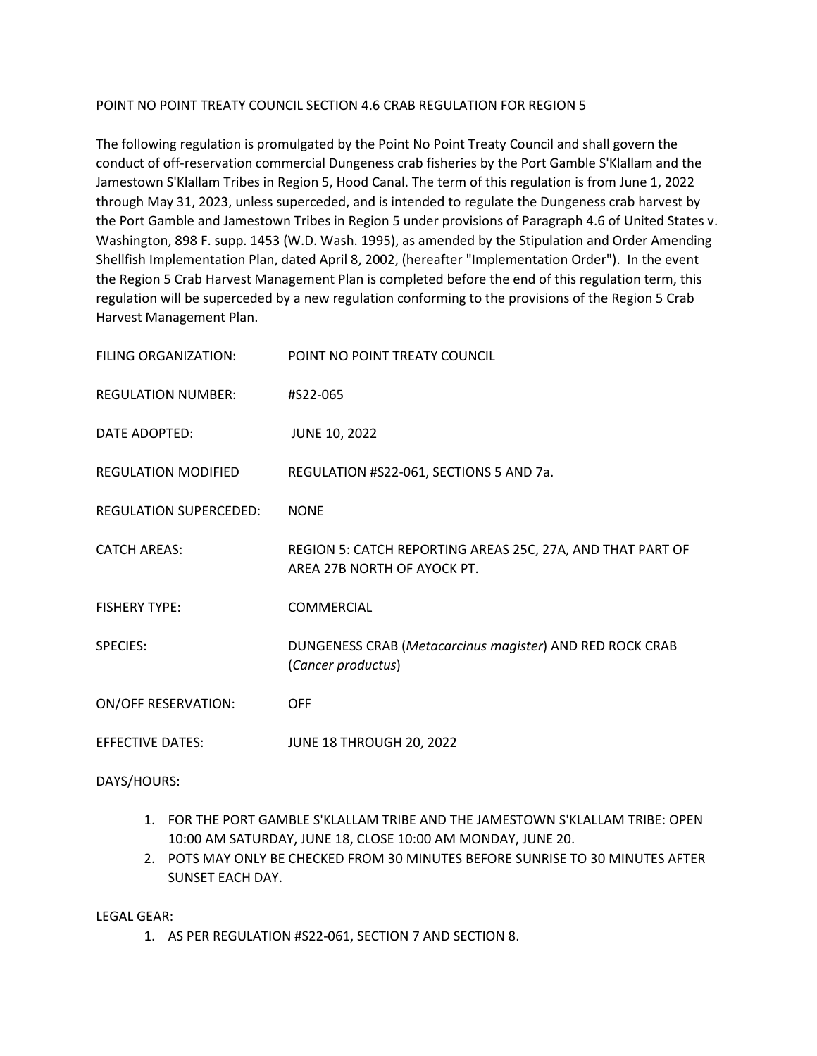### POINT NO POINT TREATY COUNCIL SECTION 4.6 CRAB REGULATION FOR REGION 5

The following regulation is promulgated by the Point No Point Treaty Council and shall govern the conduct of off-reservation commercial Dungeness crab fisheries by the Port Gamble S'Klallam and the Jamestown S'Klallam Tribes in Region 5, Hood Canal. The term of this regulation is from June 1, 2022 through May 31, 2023, unless superceded, and is intended to regulate the Dungeness crab harvest by the Port Gamble and Jamestown Tribes in Region 5 under provisions of Paragraph 4.6 of United States v. Washington, 898 F. supp. 1453 (W.D. Wash. 1995), as amended by the Stipulation and Order Amending Shellfish Implementation Plan, dated April 8, 2002, (hereafter "Implementation Order"). In the event the Region 5 Crab Harvest Management Plan is completed before the end of this regulation term, this regulation will be superceded by a new regulation conforming to the provisions of the Region 5 Crab Harvest Management Plan.

| FILING ORGANIZATION:          | POINT NO POINT TREATY COUNCIL                                                             |
|-------------------------------|-------------------------------------------------------------------------------------------|
| <b>REGULATION NUMBER:</b>     | #S22-065                                                                                  |
| DATE ADOPTED:                 | <b>JUNE 10, 2022</b>                                                                      |
| <b>REGULATION MODIFIED</b>    | REGULATION #S22-061, SECTIONS 5 AND 7a.                                                   |
| <b>REGULATION SUPERCEDED:</b> | <b>NONE</b>                                                                               |
| <b>CATCH AREAS:</b>           | REGION 5: CATCH REPORTING AREAS 25C, 27A, AND THAT PART OF<br>AREA 27B NORTH OF AYOCK PT. |
| <b>FISHERY TYPE:</b>          | COMMERCIAL                                                                                |
| <b>SPECIES:</b>               | DUNGENESS CRAB (Metacarcinus magister) AND RED ROCK CRAB<br>(Cancer productus)            |
| <b>ON/OFF RESERVATION:</b>    | <b>OFF</b>                                                                                |
| <b>EFFECTIVE DATES:</b>       | <b>JUNE 18 THROUGH 20, 2022</b>                                                           |

### DAYS/HOURS:

- 1. FOR THE PORT GAMBLE S'KLALLAM TRIBE AND THE JAMESTOWN S'KLALLAM TRIBE: OPEN 10:00 AM SATURDAY, JUNE 18, CLOSE 10:00 AM MONDAY, JUNE 20.
- 2. POTS MAY ONLY BE CHECKED FROM 30 MINUTES BEFORE SUNRISE TO 30 MINUTES AFTER SUNSET EACH DAY.

LEGAL GEAR:

1. AS PER REGULATION #S22-061, SECTION 7 AND SECTION 8.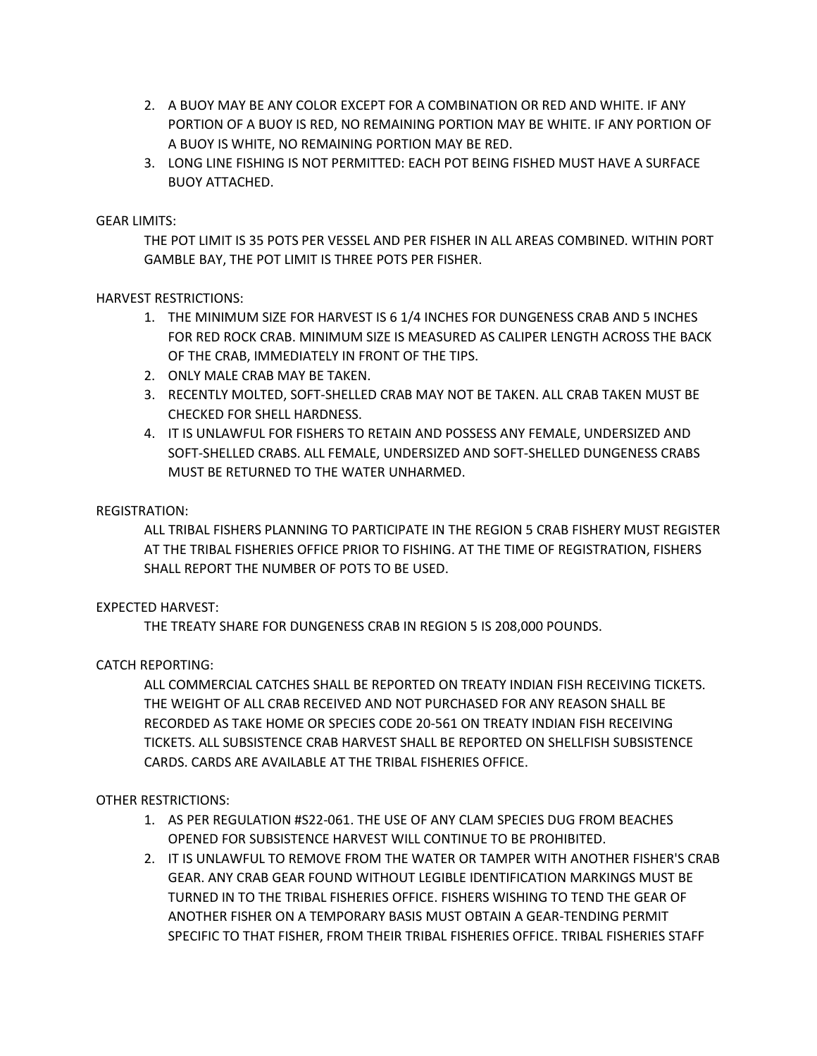- 2. A BUOY MAY BE ANY COLOR EXCEPT FOR A COMBINATION OR RED AND WHITE. IF ANY PORTION OF A BUOY IS RED, NO REMAINING PORTION MAY BE WHITE. IF ANY PORTION OF A BUOY IS WHITE, NO REMAINING PORTION MAY BE RED.
- 3. LONG LINE FISHING IS NOT PERMITTED: EACH POT BEING FISHED MUST HAVE A SURFACE BUOY ATTACHED.

## GEAR LIMITS:

THE POT LIMIT IS 35 POTS PER VESSEL AND PER FISHER IN ALL AREAS COMBINED. WITHIN PORT GAMBLE BAY, THE POT LIMIT IS THREE POTS PER FISHER.

HARVEST RESTRICTIONS:

- 1. THE MINIMUM SIZE FOR HARVEST IS 6 1/4 INCHES FOR DUNGENESS CRAB AND 5 INCHES FOR RED ROCK CRAB. MINIMUM SIZE IS MEASURED AS CALIPER LENGTH ACROSS THE BACK OF THE CRAB, IMMEDIATELY IN FRONT OF THE TIPS.
- 2. ONLY MALE CRAB MAY BE TAKEN.
- 3. RECENTLY MOLTED, SOFT-SHELLED CRAB MAY NOT BE TAKEN. ALL CRAB TAKEN MUST BE CHECKED FOR SHELL HARDNESS.
- 4. IT IS UNLAWFUL FOR FISHERS TO RETAIN AND POSSESS ANY FEMALE, UNDERSIZED AND SOFT-SHELLED CRABS. ALL FEMALE, UNDERSIZED AND SOFT-SHELLED DUNGENESS CRABS MUST BE RETURNED TO THE WATER UNHARMED.

## REGISTRATION:

ALL TRIBAL FISHERS PLANNING TO PARTICIPATE IN THE REGION 5 CRAB FISHERY MUST REGISTER AT THE TRIBAL FISHERIES OFFICE PRIOR TO FISHING. AT THE TIME OF REGISTRATION, FISHERS SHALL REPORT THE NUMBER OF POTS TO BE USED.

### EXPECTED HARVEST:

THE TREATY SHARE FOR DUNGENESS CRAB IN REGION 5 IS 208,000 POUNDS.

# CATCH REPORTING:

ALL COMMERCIAL CATCHES SHALL BE REPORTED ON TREATY INDIAN FISH RECEIVING TICKETS. THE WEIGHT OF ALL CRAB RECEIVED AND NOT PURCHASED FOR ANY REASON SHALL BE RECORDED AS TAKE HOME OR SPECIES CODE 20-561 ON TREATY INDIAN FISH RECEIVING TICKETS. ALL SUBSISTENCE CRAB HARVEST SHALL BE REPORTED ON SHELLFISH SUBSISTENCE CARDS. CARDS ARE AVAILABLE AT THE TRIBAL FISHERIES OFFICE.

### OTHER RESTRICTIONS:

- 1. AS PER REGULATION #S22-061. THE USE OF ANY CLAM SPECIES DUG FROM BEACHES OPENED FOR SUBSISTENCE HARVEST WILL CONTINUE TO BE PROHIBITED.
- 2. IT IS UNLAWFUL TO REMOVE FROM THE WATER OR TAMPER WITH ANOTHER FISHER'S CRAB GEAR. ANY CRAB GEAR FOUND WITHOUT LEGIBLE IDENTIFICATION MARKINGS MUST BE TURNED IN TO THE TRIBAL FISHERIES OFFICE. FISHERS WISHING TO TEND THE GEAR OF ANOTHER FISHER ON A TEMPORARY BASIS MUST OBTAIN A GEAR-TENDING PERMIT SPECIFIC TO THAT FISHER, FROM THEIR TRIBAL FISHERIES OFFICE. TRIBAL FISHERIES STAFF